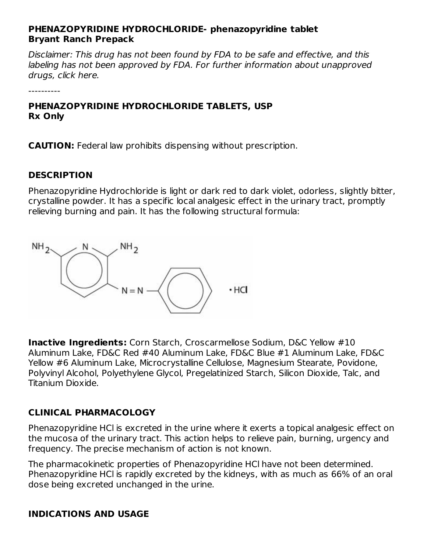#### **PHENAZOPYRIDINE HYDROCHLORIDE- phenazopyridine tablet Bryant Ranch Prepack**

Disclaimer: This drug has not been found by FDA to be safe and effective, and this labeling has not been approved by FDA. For further information about unapproved drugs, click here.

**PHENAZOPYRIDINE HYDROCHLORIDE TABLETS, USP Rx Only**

**CAUTION:** Federal law prohibits dispensing without prescription.

### **DESCRIPTION**

----------

Phenazopyridine Hydrochloride is light or dark red to dark violet, odorless, slightly bitter, crystalline powder. It has a specific local analgesic effect in the urinary tract, promptly relieving burning and pain. It has the following structural formula:



**Inactive Ingredients:** Corn Starch, Croscarmellose Sodium, D&C Yellow #10 Aluminum Lake, FD&C Red #40 Aluminum Lake, FD&C Blue #1 Aluminum Lake, FD&C Yellow #6 Aluminum Lake, Microcrystalline Cellulose, Magnesium Stearate, Povidone, Polyvinyl Alcohol, Polyethylene Glycol, Pregelatinized Starch, Silicon Dioxide, Talc, and Titanium Dioxide.

#### **CLINICAL PHARMACOLOGY**

Phenazopyridine HCl is excreted in the urine where it exerts a topical analgesic effect on the mucosa of the urinary tract. This action helps to relieve pain, burning, urgency and frequency. The precise mechanism of action is not known.

The pharmacokinetic properties of Phenazopyridine HCl have not been determined. Phenazopyridine HCl is rapidly excreted by the kidneys, with as much as 66% of an oral dose being excreted unchanged in the urine.

#### **INDICATIONS AND USAGE**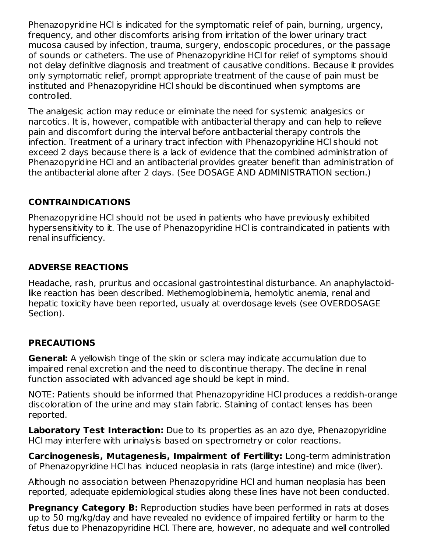Phenazopyridine HCl is indicated for the symptomatic relief of pain, burning, urgency, frequency, and other discomforts arising from irritation of the lower urinary tract mucosa caused by infection, trauma, surgery, endoscopic procedures, or the passage of sounds or catheters. The use of Phenazopyridine HCl for relief of symptoms should not delay definitive diagnosis and treatment of causative conditions. Because it provides only symptomatic relief, prompt appropriate treatment of the cause of pain must be instituted and Phenazopyridine HCl should be discontinued when symptoms are controlled.

The analgesic action may reduce or eliminate the need for systemic analgesics or narcotics. It is, however, compatible with antibacterial therapy and can help to relieve pain and discomfort during the interval before antibacterial therapy controls the infection. Treatment of a urinary tract infection with Phenazopyridine HCl should not exceed 2 days because there is a lack of evidence that the combined administration of Phenazopyridine HCl and an antibacterial provides greater benefit than administration of the antibacterial alone after 2 days. (See DOSAGE AND ADMINISTRATION section.)

# **CONTRAINDICATIONS**

Phenazopyridine HCl should not be used in patients who have previously exhibited hypersensitivity to it. The use of Phenazopyridine HCl is contraindicated in patients with renal insufficiency.

### **ADVERSE REACTIONS**

Headache, rash, pruritus and occasional gastrointestinal disturbance. An anaphylactoidlike reaction has been described. Methemoglobinemia, hemolytic anemia, renal and hepatic toxicity have been reported, usually at overdosage levels (see OVERDOSAGE Section).

#### **PRECAUTIONS**

**General:** A yellowish tinge of the skin or sclera may indicate accumulation due to impaired renal excretion and the need to discontinue therapy. The decline in renal function associated with advanced age should be kept in mind.

NOTE: Patients should be informed that Phenazopyridine HCl produces a reddish-orange discoloration of the urine and may stain fabric. Staining of contact lenses has been reported.

**Laboratory Test Interaction:** Due to its properties as an azo dye, Phenazopyridine HCl may interfere with urinalysis based on spectrometry or color reactions.

**Carcinogenesis, Mutagenesis, Impairment of Fertility:** Long-term administration of Phenazopyridine HCl has induced neoplasia in rats (large intestine) and mice (liver).

Although no association between Phenazopyridine HCl and human neoplasia has been reported, adequate epidemiological studies along these lines have not been conducted.

**Pregnancy Category B:** Reproduction studies have been performed in rats at doses up to 50 mg/kg/day and have revealed no evidence of impaired fertility or harm to the fetus due to Phenazopyridine HCl. There are, however, no adequate and well controlled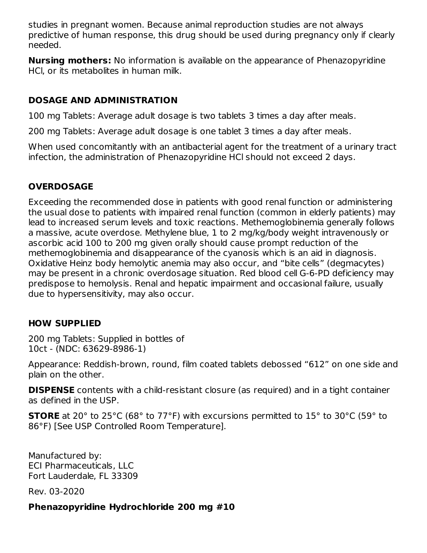studies in pregnant women. Because animal reproduction studies are not always predictive of human response, this drug should be used during pregnancy only if clearly needed.

**Nursing mothers:** No information is available on the appearance of Phenazopyridine HCl, or its metabolites in human milk.

## **DOSAGE AND ADMINISTRATION**

100 mg Tablets: Average adult dosage is two tablets 3 times a day after meals.

200 mg Tablets: Average adult dosage is one tablet 3 times a day after meals.

When used concomitantly with an antibacterial agent for the treatment of a urinary tract infection, the administration of Phenazopyridine HCl should not exceed 2 days.

# **OVERDOSAGE**

Exceeding the recommended dose in patients with good renal function or administering the usual dose to patients with impaired renal function (common in elderly patients) may lead to increased serum levels and toxic reactions. Methemoglobinemia generally follows a massive, acute overdose. Methylene blue, 1 to 2 mg/kg/body weight intravenously or ascorbic acid 100 to 200 mg given orally should cause prompt reduction of the methemoglobinemia and disappearance of the cyanosis which is an aid in diagnosis. Oxidative Heinz body hemolytic anemia may also occur, and "bite cells" (degmacytes) may be present in a chronic overdosage situation. Red blood cell G-6-PD deficiency may predispose to hemolysis. Renal and hepatic impairment and occasional failure, usually due to hypersensitivity, may also occur.

# **HOW SUPPLIED**

200 mg Tablets: Supplied in bottles of 10ct - (NDC: 63629-8986-1)

Appearance: Reddish-brown, round, film coated tablets debossed "612" on one side and plain on the other.

**DISPENSE** contents with a child-resistant closure (as required) and in a tight container as defined in the USP.

**STORE** at 20° to 25°C (68° to 77°F) with excursions permitted to 15° to 30°C (59° to 86°F) [See USP Controlled Room Temperature].

Manufactured by: ECI Pharmaceuticals, LLC Fort Lauderdale, FL 33309

Rev. 03-2020

#### **Phenazopyridine Hydrochloride 200 mg #10**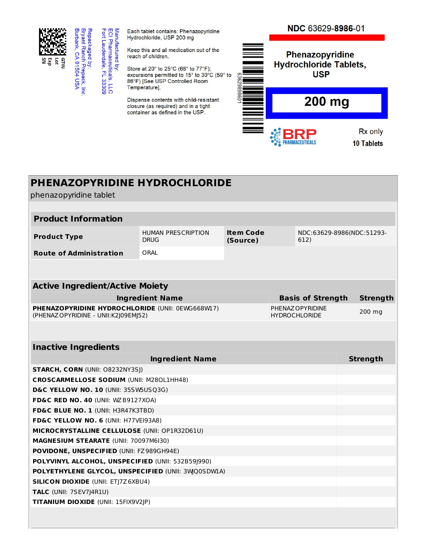

Repackaged by:<br>Bryant Ranch Prepack, Inc.<br>Burbank, CA 91504 USA

Manufactured by:<br>ECI Pharmaceuticals, LLC<br>Fort Lauderdale, FL 33309

Each tablet contains: Phenazopyridine Hydrochloride, USP 200 mg

Keep this and all medication out of the reach of children.

Store at 20° to 25°C (68° to 77°F); excursions permitted to 15° to 30°C (59° to 86°F) [See USP Controlled Room Temperature].

Dispense contents with child-resistant closure (as required) and in a tight container as defined in the USP.



# **PHENAZOPYRIDINE HYDROCHLORIDE**

phenazopyridine tablet

| <b>HUMAN PRESCRIPTION</b><br>DRUG                                                         | <b>Item Code</b><br>612)<br>(Source) |                          |  |                                          |                           |  |  |
|-------------------------------------------------------------------------------------------|--------------------------------------|--------------------------|--|------------------------------------------|---------------------------|--|--|
| ORAL                                                                                      |                                      |                          |  |                                          |                           |  |  |
|                                                                                           |                                      |                          |  |                                          |                           |  |  |
| <b>Active Ingredient/Active Moiety</b>                                                    |                                      |                          |  |                                          |                           |  |  |
| <b>Ingredient Name</b>                                                                    |                                      | <b>Basis of Strength</b> |  | <b>Strength</b>                          |                           |  |  |
| PHENAZOPYRIDINE HYDROCHLORIDE (UNII: 0EWG668W17)<br>(PHENAZ OPYRIDINE - UNII: K2J09EMJ52) |                                      |                          |  |                                          | 200 mg                    |  |  |
|                                                                                           |                                      |                          |  |                                          |                           |  |  |
| <b>Inactive Ingredients</b>                                                               |                                      |                          |  |                                          |                           |  |  |
| <b>Ingredient Name</b>                                                                    |                                      |                          |  |                                          | <b>Strength</b>           |  |  |
| STARCH, CORN (UNII: 08232NY3SJ)                                                           |                                      |                          |  |                                          |                           |  |  |
| <b>CROSCARMELLOSE SODIUM (UNII: M280L1HH48)</b>                                           |                                      |                          |  |                                          |                           |  |  |
| D&C YELLOW NO. 10 (UNII: 35SW5USQ3G)                                                      |                                      |                          |  |                                          |                           |  |  |
| FD&C RED NO. 40 (UNII: WZB9127XOA)                                                        |                                      |                          |  |                                          |                           |  |  |
| FD&C BLUE NO. 1 (UNII: H3R47K3TBD)                                                        |                                      |                          |  |                                          |                           |  |  |
| FD&C YELLOW NO. 6 (UNII: H77VEI93A8)                                                      |                                      |                          |  |                                          |                           |  |  |
| MICROCRYSTALLINE CELLULOSE (UNII: OP1R32D61U)                                             |                                      |                          |  |                                          |                           |  |  |
| MAGNESIUM STEARATE (UNII: 70097M6I30)                                                     |                                      |                          |  |                                          |                           |  |  |
| <b>POVIDONE, UNSPECIFIED (UNII: FZ989GH94E)</b>                                           |                                      |                          |  |                                          |                           |  |  |
| POLYVINYL ALCOHOL, UNSPECIFIED (UNII: 532B59J990)                                         |                                      |                          |  |                                          |                           |  |  |
| POLYETHYLENE GLYCOL, UNSPECIFIED (UNII: 3WQ0SDWIA)                                        |                                      |                          |  |                                          |                           |  |  |
| <b>SILICON DIOXIDE (UNII: ETJ7Z6XBU4)</b>                                                 |                                      |                          |  |                                          |                           |  |  |
|                                                                                           |                                      |                          |  | PHENAZ OPYRIDINE<br><b>HYDROCHLORIDE</b> | NDC:63629-8986(NDC:51293- |  |  |

**TALC** (UNII: 7SEV7J4R1U)

**TITANIUM DIOXIDE** (UNII: 15FIX9V2JP)